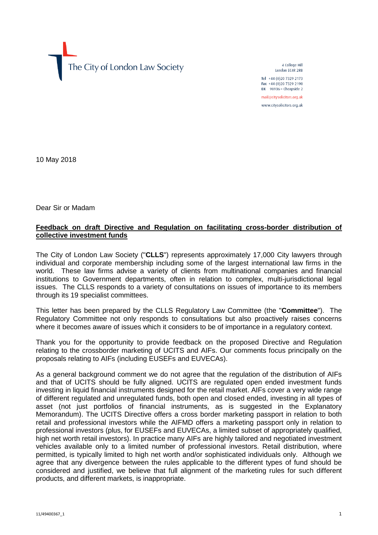The City of London Law Society

4 College Hill London FC4R 2RB

Tel +44 (0)20 7329 2173 Fax +44 (0)20 7329 2190 DX  $98936$  - Cheapside 2 mail@citysolicitors.org.uk www.citysolicitors.org.uk

10 May 2018

Dear Sir or Madam

# **Feedback on draft Directive and Regulation on facilitating cross-border distribution of collective investment funds**

The City of London Law Society ("**CLLS**") represents approximately 17,000 City lawyers through individual and corporate membership including some of the largest international law firms in the world. These law firms advise a variety of clients from multinational companies and financial institutions to Government departments, often in relation to complex, multi-jurisdictional legal issues. The CLLS responds to a variety of consultations on issues of importance to its members through its 19 specialist committees.

This letter has been prepared by the CLLS Regulatory Law Committee (the "**Committee**"). The Regulatory Committee not only responds to consultations but also proactively raises concerns where it becomes aware of issues which it considers to be of importance in a regulatory context.

Thank you for the opportunity to provide feedback on the proposed Directive and Regulation relating to the crossborder marketing of UCITS and AIFs. Our comments focus principally on the proposals relating to AIFs (including EUSEFs and EUVECAs).

As a general background comment we do not agree that the regulation of the distribution of AIFs and that of UCITS should be fully aligned. UCITS are regulated open ended investment funds investing in liquid financial instruments designed for the retail market. AIFs cover a very wide range of different regulated and unregulated funds, both open and closed ended, investing in all types of asset (not just portfolios of financial instruments, as is suggested in the Explanatory Memorandum). The UCITS Directive offers a cross border marketing passport in relation to both retail and professional investors while the AIFMD offers a marketing passport only in relation to professional investors (plus, for EUSEFs and EUVECAs, a limited subset of appropriately qualified, high net worth retail investors). In practice many AIFs are highly tailored and negotiated investment vehicles available only to a limited number of professional investors. Retail distribution, where permitted, is typically limited to high net worth and/or sophisticated individuals only. Although we agree that any divergence between the rules applicable to the different types of fund should be considered and justified, we believe that full alignment of the marketing rules for such different products, and different markets, is inappropriate.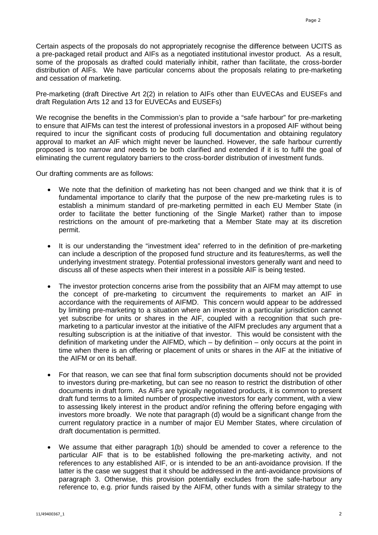Certain aspects of the proposals do not appropriately recognise the difference between UCITS as a pre-packaged retail product and AIFs as a negotiated institutional investor product. As a result, some of the proposals as drafted could materially inhibit, rather than facilitate, the cross-border distribution of AIFs. We have particular concerns about the proposals relating to pre-marketing and cessation of marketing.

Pre-marketing (draft Directive Art 2(2) in relation to AIFs other than EUVECAs and EUSEFs and draft Regulation Arts 12 and 13 for EUVECAs and EUSEFs)

We recognise the benefits in the Commission's plan to provide a "safe harbour" for pre-marketing to ensure that AIFMs can test the interest of professional investors in a proposed AIF without being required to incur the significant costs of producing full documentation and obtaining regulatory approval to market an AIF which might never be launched. However, the safe harbour currently proposed is too narrow and needs to be both clarified and extended if it is to fulfil the goal of eliminating the current regulatory barriers to the cross-border distribution of investment funds.

Our drafting comments are as follows:

- We note that the definition of marketing has not been changed and we think that it is of fundamental importance to clarify that the purpose of the new pre-marketing rules is to establish a minimum standard of pre-marketing permitted in each EU Member State (in order to facilitate the better functioning of the Single Market) rather than to impose restrictions on the amount of pre-marketing that a Member State may at its discretion permit.
- It is our understanding the "investment idea" referred to in the definition of pre-marketing can include a description of the proposed fund structure and its features/terms, as well the underlying investment strategy. Potential professional investors generally want and need to discuss all of these aspects when their interest in a possible AIF is being tested.
- The investor protection concerns arise from the possibility that an AIFM may attempt to use the concept of pre-marketing to circumvent the requirements to market an AIF in accordance with the requirements of AIFMD. This concern would appear to be addressed by limiting pre-marketing to a situation where an investor in a particular jurisdiction cannot yet subscribe for units or shares in the AIF, coupled with a recognition that such premarketing to a particular investor at the initiative of the AIFM precludes any argument that a resulting subscription is at the initiative of that investor. This would be consistent with the definition of marketing under the AIFMD, which – by definition – only occurs at the point in time when there is an offering or placement of units or shares in the AIF at the initiative of the AIFM or on its behalf.
- For that reason, we can see that final form subscription documents should not be provided to investors during pre-marketing, but can see no reason to restrict the distribution of other documents in draft form. As AIFs are typically negotiated products, it is common to present draft fund terms to a limited number of prospective investors for early comment, with a view to assessing likely interest in the product and/or refining the offering before engaging with investors more broadly. We note that paragraph (d) would be a significant change from the current regulatory practice in a number of major EU Member States, where circulation of draft documentation is permitted.
- We assume that either paragraph 1(b) should be amended to cover a reference to the particular AIF that is to be established following the pre-marketing activity, and not references to any established AIF, or is intended to be an anti-avoidance provision. If the latter is the case we suggest that it should be addressed in the anti-avoidance provisions of paragraph 3. Otherwise, this provision potentially excludes from the safe-harbour any reference to, e.g. prior funds raised by the AIFM, other funds with a similar strategy to the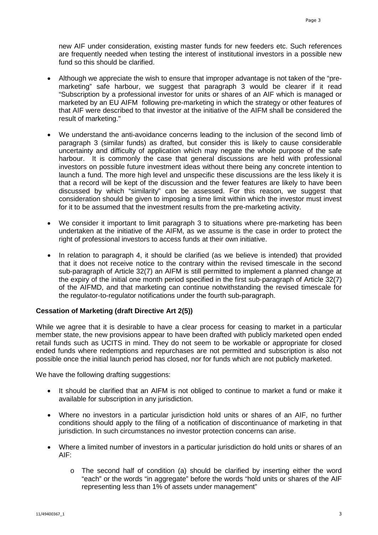new AIF under consideration, existing master funds for new feeders etc. Such references are frequently needed when testing the interest of institutional investors in a possible new fund so this should be clarified.

- Although we appreciate the wish to ensure that improper advantage is not taken of the "premarketing" safe harbour, we suggest that paragraph 3 would be clearer if it read "Subscription by a professional investor for units or shares of an AIF which is managed or marketed by an EU AIFM following pre-marketing in which the strategy or other features of that AIF were described to that investor at the initiative of the AIFM shall be considered the result of marketing."
- We understand the anti-avoidance concerns leading to the inclusion of the second limb of paragraph 3 (similar funds) as drafted, but consider this is likely to cause considerable uncertainty and difficulty of application which may negate the whole purpose of the safe harbour. It is commonly the case that general discussions are held with professional investors on possible future investment ideas without there being any concrete intention to launch a fund. The more high level and unspecific these discussions are the less likely it is that a record will be kept of the discussion and the fewer features are likely to have been discussed by which "similarity" can be assessed. For this reason, we suggest that consideration should be given to imposing a time limit within which the investor must invest for it to be assumed that the investment results from the pre-marketing activity.
- We consider it important to limit paragraph 3 to situations where pre-marketing has been undertaken at the initiative of the AIFM, as we assume is the case in order to protect the right of professional investors to access funds at their own initiative.
- In relation to paragraph 4, it should be clarified (as we believe is intended) that provided that it does not receive notice to the contrary within the revised timescale in the second sub-paragraph of Article 32(7) an AIFM is still permitted to implement a planned change at the expiry of the initial one month period specified in the first sub-paragraph of Article 32(7) of the AIFMD, and that marketing can continue notwithstanding the revised timescale for the regulator-to-regulator notifications under the fourth sub-paragraph.

# **Cessation of Marketing (draft Directive Art 2(5))**

While we agree that it is desirable to have a clear process for ceasing to market in a particular member state, the new provisions appear to have been drafted with publicly marketed open ended retail funds such as UCITS in mind. They do not seem to be workable or appropriate for closed ended funds where redemptions and repurchases are not permitted and subscription is also not possible once the initial launch period has closed, nor for funds which are not publicly marketed.

We have the following drafting suggestions:

- It should be clarified that an AIFM is not obliged to continue to market a fund or make it available for subscription in any jurisdiction.
- Where no investors in a particular jurisdiction hold units or shares of an AIF, no further conditions should apply to the filing of a notification of discontinuance of marketing in that jurisdiction. In such circumstances no investor protection concerns can arise.
- Where a limited number of investors in a particular jurisdiction do hold units or shares of an AIF:
	- o The second half of condition (a) should be clarified by inserting either the word "each" or the words "in aggregate" before the words "hold units or shares of the AIF representing less than 1% of assets under management"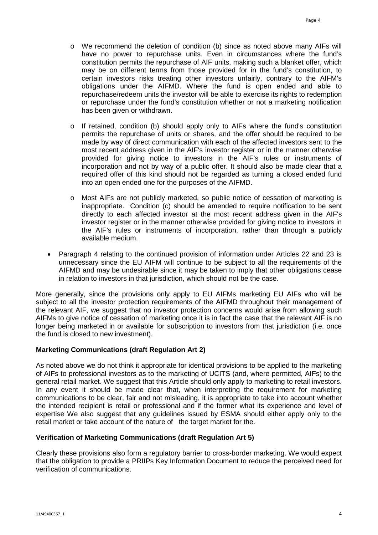- o We recommend the deletion of condition (b) since as noted above many AIFs will have no power to repurchase units. Even in circumstances where the fund's constitution permits the repurchase of AIF units, making such a blanket offer, which may be on different terms from those provided for in the fund's constitution, to certain investors risks treating other investors unfairly, contrary to the AIFM's obligations under the AIFMD. Where the fund is open ended and able to repurchase/redeem units the investor will be able to exercise its rights to redemption or repurchase under the fund's constitution whether or not a marketing notification has been given or withdrawn.
- $\circ$  If retained, condition (b) should apply only to AIFs where the fund's constitution permits the repurchase of units or shares, and the offer should be required to be made by way of direct communication with each of the affected investors sent to the most recent address given in the AIF's investor register or in the manner otherwise provided for giving notice to investors in the AIF's rules or instruments of incorporation and not by way of a public offer. It should also be made clear that a required offer of this kind should not be regarded as turning a closed ended fund into an open ended one for the purposes of the AIFMD.
- o Most AIFs are not publicly marketed, so public notice of cessation of marketing is inappropriate. Condition (c) should be amended to require notification to be sent directly to each affected investor at the most recent address given in the AIF's investor register or in the manner otherwise provided for giving notice to investors in the AIF's rules or instruments of incorporation, rather than through a publicly available medium.
- Paragraph 4 relating to the continued provision of information under Articles 22 and 23 is unnecessary since the EU AIFM will continue to be subject to all the requirements of the AIFMD and may be undesirable since it may be taken to imply that other obligations cease in relation to investors in that jurisdiction, which should not be the case.

More generally, since the provisions only apply to EU AIFMs marketing EU AIFs who will be subject to all the investor protection requirements of the AIFMD throughout their management of the relevant AIF, we suggest that no investor protection concerns would arise from allowing such AIFMs to give notice of cessation of marketing once it is in fact the case that the relevant AIF is no longer being marketed in or available for subscription to investors from that jurisdiction (i.e. once the fund is closed to new investment).

### **Marketing Communications (draft Regulation Art 2)**

As noted above we do not think it appropriate for identical provisions to be applied to the marketing of AIFs to professional investors as to the marketing of UCITS (and, where permitted, AIFs) to the general retail market. We suggest that this Article should only apply to marketing to retail investors. In any event it should be made clear that, when interpreting the requirement for marketing communications to be clear, fair and not misleading, it is appropriate to take into account whether the intended recipient is retail or professional and if the former what its experience and level of expertise We also suggest that any guidelines issued by ESMA should either apply only to the retail market or take account of the nature of the target market for the.

## **Verification of Marketing Communications (draft Regulation Art 5)**

Clearly these provisions also form a regulatory barrier to cross-border marketing. We would expect that the obligation to provide a PRIIPs Key Information Document to reduce the perceived need for verification of communications.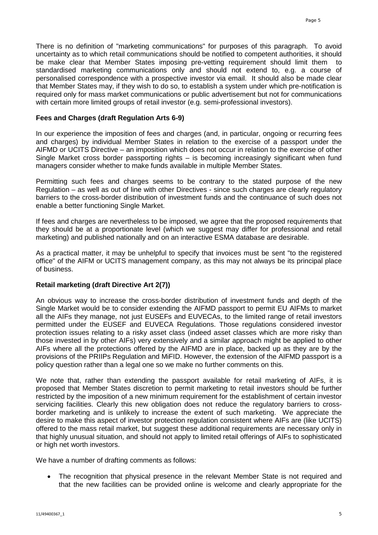There is no definition of "marketing communications" for purposes of this paragraph. To avoid uncertainty as to which retail communications should be notified to competent authorities, it should be make clear that Member States imposing pre-vetting requirement should limit them to standardised marketing communications only and should not extend to, e.g. a course of personalised correspondence with a prospective investor via email. It should also be made clear that Member States may, if they wish to do so, to establish a system under which pre-notification is required only for mass market communications or public advertisement but not for communications with certain more limited groups of retail investor (e.g. semi-professional investors).

### **Fees and Charges (draft Regulation Arts 6-9)**

In our experience the imposition of fees and charges (and, in particular, ongoing or recurring fees and charges) by individual Member States in relation to the exercise of a passport under the AIFMD or UCITS Directive – an imposition which does not occur in relation to the exercise of other Single Market cross border passporting rights – is becoming increasingly significant when fund managers consider whether to make funds available in multiple Member States.

Permitting such fees and charges seems to be contrary to the stated purpose of the new Regulation – as well as out of line with other Directives - since such charges are clearly regulatory barriers to the cross-border distribution of investment funds and the continuance of such does not enable a better functioning Single Market.

If fees and charges are nevertheless to be imposed, we agree that the proposed requirements that they should be at a proportionate level (which we suggest may differ for professional and retail marketing) and published nationally and on an interactive ESMA database are desirable.

As a practical matter, it may be unhelpful to specify that invoices must be sent "to the registered office" of the AIFM or UCITS management company, as this may not always be its principal place of business.

### **Retail marketing (draft Directive Art 2(7))**

An obvious way to increase the cross-border distribution of investment funds and depth of the Single Market would be to consider extending the AIFMD passport to permit EU AIFMs to market all the AIFs they manage, not just EUSEFs and EUVECAs, to the limited range of retail investors permitted under the EUSEF and EUVECA Regulations. Those regulations considered investor protection issues relating to a risky asset class (indeed asset classes which are more risky than those invested in by other AIFs) very extensively and a similar approach might be applied to other AIFs where all the protections offered by the AIFMD are in place, backed up as they are by the provisions of the PRIIPs Regulation and MiFID. However, the extension of the AIFMD passport is a policy question rather than a legal one so we make no further comments on this.

We note that, rather than extending the passport available for retail marketing of AIFs, it is proposed that Member States discretion to permit marketing to retail investors should be further restricted by the imposition of a new minimum requirement for the establishment of certain investor servicing facilities. Clearly this new obligation does not reduce the regulatory barriers to crossborder marketing and is unlikely to increase the extent of such marketing. We appreciate the desire to make this aspect of investor protection regulation consistent where AIFs are (like UCITS) offered to the mass retail market, but suggest these additional requirements are necessary only in that highly unusual situation, and should not apply to limited retail offerings of AIFs to sophisticated or high net worth investors.

We have a number of drafting comments as follows:

The recognition that physical presence in the relevant Member State is not required and that the new facilities can be provided online is welcome and clearly appropriate for the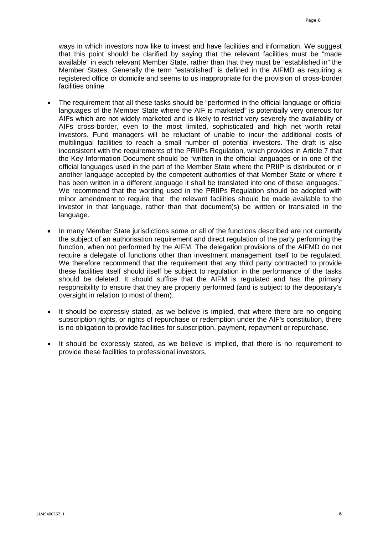ways in which investors now like to invest and have facilities and information. We suggest that this point should be clarified by saying that the relevant facilities must be "made available" in each relevant Member State, rather than that they must be "established in" the Member States. Generally the term "established" is defined in the AIFMD as requiring a registered office or domicile and seems to us inappropriate for the provision of cross-border facilities online.

- The requirement that all these tasks should be "performed in the official language or official languages of the Member State where the AIF is marketed" is potentially very onerous for AIFs which are not widely marketed and is likely to restrict very severely the availability of AIFs cross-border, even to the most limited, sophisticated and high net worth retail investors. Fund managers will be reluctant of unable to incur the additional costs of multilingual facilities to reach a small number of potential investors. The draft is also inconsistent with the requirements of the PRIIPs Regulation, which provides in Article 7 that the Key Information Document should be "written in the official languages or in one of the official languages used in the part of the Member State where the PRIIP is distributed or in another language accepted by the competent authorities of that Member State or where it has been written in a different language it shall be translated into one of these languages." We recommend that the wording used in the PRIIPs Regulation should be adopted with minor amendment to require that the relevant facilities should be made available to the investor in that language, rather than that document(s) be written or translated in the language.
- In many Member State jurisdictions some or all of the functions described are not currently the subject of an authorisation requirement and direct regulation of the party performing the function, when not performed by the AIFM. The delegation provisions of the AIFMD do not require a delegate of functions other than investment management itself to be regulated. We therefore recommend that the requirement that any third party contracted to provide these facilities itself should itself be subject to regulation in the performance of the tasks should be deleted. It should suffice that the AIFM is regulated and has the primary responsibility to ensure that they are properly performed (and is subject to the depositary's oversight in relation to most of them).
- It should be expressly stated, as we believe is implied, that where there are no ongoing subscription rights, or rights of repurchase or redemption under the AIF's constitution, there is no obligation to provide facilities for subscription, payment, repayment or repurchase.
- It should be expressly stated, as we believe is implied, that there is no requirement to provide these facilities to professional investors.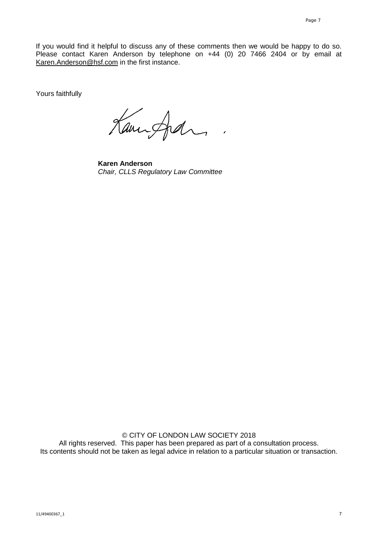If you would find it helpful to discuss any of these comments then we would be happy to do so. Please contact Karen Anderson by telephone on +44 (0) 20 7466 2404 or by email at [Karen.Anderson@hsf.com](mailto:Karen.Anderson@hsf.com) in the first instance.

Yours faithfully

Kannford

**Karen Anderson** *Chair, CLLS Regulatory Law Committee*

© CITY OF LONDON LAW SOCIETY 2018 All rights reserved. This paper has been prepared as part of a consultation process. Its contents should not be taken as legal advice in relation to a particular situation or transaction.